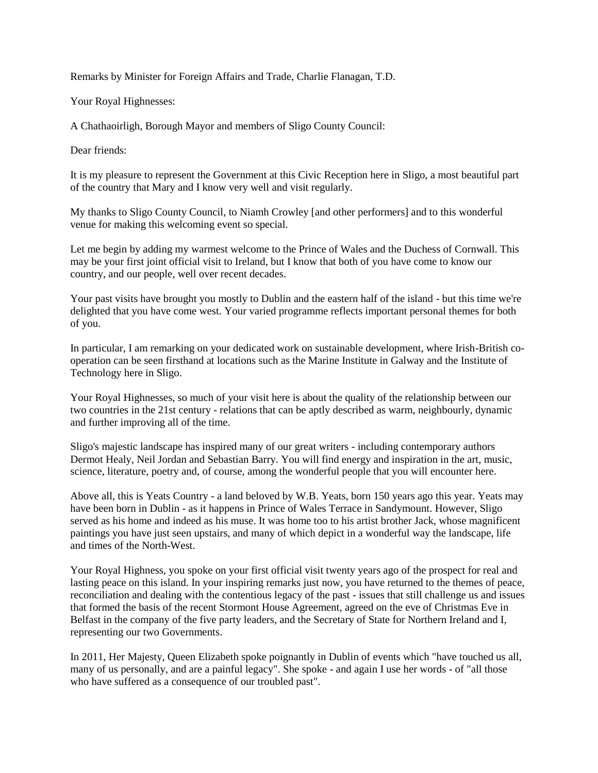Remarks by Minister for Foreign Affairs and Trade, Charlie Flanagan, T.D.

Your Royal Highnesses:

A Chathaoirligh, Borough Mayor and members of Sligo County Council:

Dear friends:

It is my pleasure to represent the Government at this Civic Reception here in Sligo, a most beautiful part of the country that Mary and I know very well and visit regularly.

My thanks to Sligo County Council, to Niamh Crowley [and other performers] and to this wonderful venue for making this welcoming event so special.

Let me begin by adding my warmest welcome to the Prince of Wales and the Duchess of Cornwall. This may be your first joint official visit to Ireland, but I know that both of you have come to know our country, and our people, well over recent decades.

Your past visits have brought you mostly to Dublin and the eastern half of the island - but this time we're delighted that you have come west. Your varied programme reflects important personal themes for both of you.

In particular, I am remarking on your dedicated work on sustainable development, where Irish-British cooperation can be seen firsthand at locations such as the Marine Institute in Galway and the Institute of Technology here in Sligo.

Your Royal Highnesses, so much of your visit here is about the quality of the relationship between our two countries in the 21st century - relations that can be aptly described as warm, neighbourly, dynamic and further improving all of the time.

Sligo's majestic landscape has inspired many of our great writers - including contemporary authors Dermot Healy, Neil Jordan and Sebastian Barry. You will find energy and inspiration in the art, music, science, literature, poetry and, of course, among the wonderful people that you will encounter here.

Above all, this is Yeats Country - a land beloved by W.B. Yeats, born 150 years ago this year. Yeats may have been born in Dublin - as it happens in Prince of Wales Terrace in Sandymount. However, Sligo served as his home and indeed as his muse. It was home too to his artist brother Jack, whose magnificent paintings you have just seen upstairs, and many of which depict in a wonderful way the landscape, life and times of the North-West.

Your Royal Highness, you spoke on your first official visit twenty years ago of the prospect for real and lasting peace on this island. In your inspiring remarks just now, you have returned to the themes of peace, reconciliation and dealing with the contentious legacy of the past - issues that still challenge us and issues that formed the basis of the recent Stormont House Agreement, agreed on the eve of Christmas Eve in Belfast in the company of the five party leaders, and the Secretary of State for Northern Ireland and I, representing our two Governments.

In 2011, Her Majesty, Queen Elizabeth spoke poignantly in Dublin of events which "have touched us all, many of us personally, and are a painful legacy". She spoke - and again I use her words - of "all those who have suffered as a consequence of our troubled past".